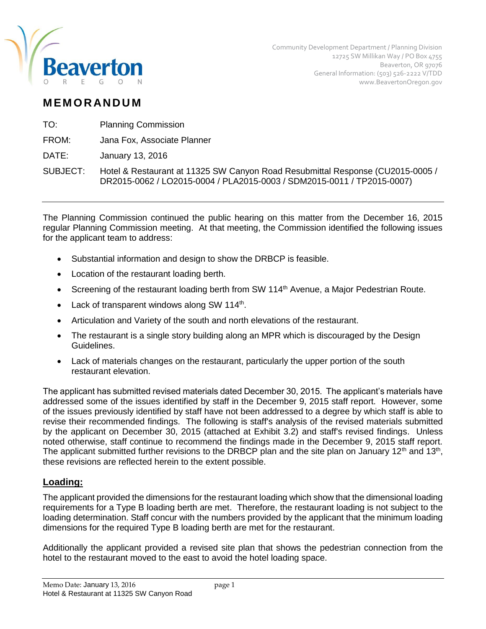

Community Development Department / Planning Division 12725 SW Millikan Way / PO Box 4755 Beaverton, OR 97076 General Information: (503) 526-2222 V/TDD www.BeavertonOregon.gov

# **M EM O R AN D U M**

TO: Planning Commission

FROM: Jana Fox, Associate Planner

DATE: January 13, 2016

SUBJECT: Hotel & Restaurant at 11325 SW Canyon Road Resubmittal Response (CU2015-0005 / DR2015-0062 / LO2015-0004 / PLA2015-0003 / SDM2015-0011 / TP2015-0007)

The Planning Commission continued the public hearing on this matter from the December 16, 2015 regular Planning Commission meeting. At that meeting, the Commission identified the following issues for the applicant team to address:

- Substantial information and design to show the DRBCP is feasible.
- Location of the restaurant loading berth.
- Screening of the restaurant loading berth from SW 114<sup>th</sup> Avenue, a Major Pedestrian Route.
- Lack of transparent windows along SW 114<sup>th</sup>.
- Articulation and Variety of the south and north elevations of the restaurant.
- The restaurant is a single story building along an MPR which is discouraged by the Design Guidelines.
- Lack of materials changes on the restaurant, particularly the upper portion of the south restaurant elevation.

The applicant has submitted revised materials dated December 30, 2015. The applicant's materials have addressed some of the issues identified by staff in the December 9, 2015 staff report. However, some of the issues previously identified by staff have not been addressed to a degree by which staff is able to revise their recommended findings. The following is staff's analysis of the revised materials submitted by the applicant on December 30, 2015 (attached at Exhibit 3.2) and staff's revised findings. Unless noted otherwise, staff continue to recommend the findings made in the December 9, 2015 staff report. The applicant submitted further revisions to the DRBCP plan and the site plan on January 12<sup>th</sup> and 13<sup>th</sup>, these revisions are reflected herein to the extent possible.

# **Loading:**

The applicant provided the dimensions for the restaurant loading which show that the dimensional loading requirements for a Type B loading berth are met. Therefore, the restaurant loading is not subject to the loading determination. Staff concur with the numbers provided by the applicant that the minimum loading dimensions for the required Type B loading berth are met for the restaurant.

Additionally the applicant provided a revised site plan that shows the pedestrian connection from the hotel to the restaurant moved to the east to avoid the hotel loading space.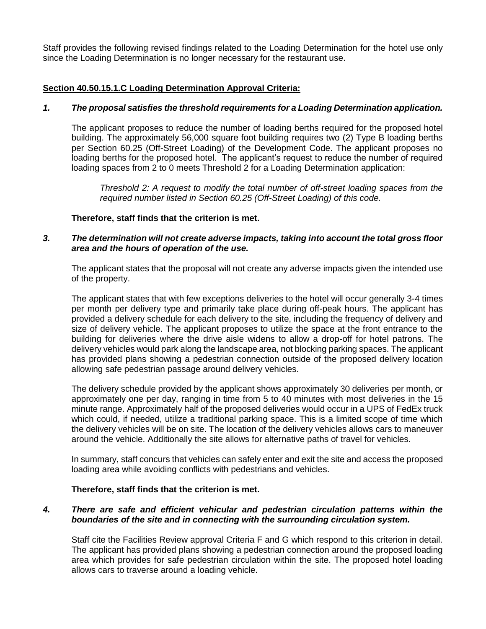Staff provides the following revised findings related to the Loading Determination for the hotel use only since the Loading Determination is no longer necessary for the restaurant use.

# **Section 40.50.15.1.C Loading Determination Approval Criteria:**

# *1. The proposal satisfies the threshold requirements for a Loading Determination application.*

The applicant proposes to reduce the number of loading berths required for the proposed hotel building. The approximately 56,000 square foot building requires two (2) Type B loading berths per Section 60.25 (Off-Street Loading) of the Development Code. The applicant proposes no loading berths for the proposed hotel. The applicant's request to reduce the number of required loading spaces from 2 to 0 meets Threshold 2 for a Loading Determination application:

*Threshold 2: A request to modify the total number of off-street loading spaces from the required number listed in Section 60.25 (Off-Street Loading) of this code.*

# **Therefore, staff finds that the criterion is met.**

# *3. The determination will not create adverse impacts, taking into account the total gross floor area and the hours of operation of the use.*

The applicant states that the proposal will not create any adverse impacts given the intended use of the property.

The applicant states that with few exceptions deliveries to the hotel will occur generally 3-4 times per month per delivery type and primarily take place during off-peak hours. The applicant has provided a delivery schedule for each delivery to the site, including the frequency of delivery and size of delivery vehicle. The applicant proposes to utilize the space at the front entrance to the building for deliveries where the drive aisle widens to allow a drop-off for hotel patrons. The delivery vehicles would park along the landscape area, not blocking parking spaces. The applicant has provided plans showing a pedestrian connection outside of the proposed delivery location allowing safe pedestrian passage around delivery vehicles.

The delivery schedule provided by the applicant shows approximately 30 deliveries per month, or approximately one per day, ranging in time from 5 to 40 minutes with most deliveries in the 15 minute range. Approximately half of the proposed deliveries would occur in a UPS of FedEx truck which could, if needed, utilize a traditional parking space. This is a limited scope of time which the delivery vehicles will be on site. The location of the delivery vehicles allows cars to maneuver around the vehicle. Additionally the site allows for alternative paths of travel for vehicles.

In summary, staff concurs that vehicles can safely enter and exit the site and access the proposed loading area while avoiding conflicts with pedestrians and vehicles.

#### **Therefore, staff finds that the criterion is met.**

# *4. There are safe and efficient vehicular and pedestrian circulation patterns within the boundaries of the site and in connecting with the surrounding circulation system.*

Staff cite the Facilities Review approval Criteria F and G which respond to this criterion in detail. The applicant has provided plans showing a pedestrian connection around the proposed loading area which provides for safe pedestrian circulation within the site. The proposed hotel loading allows cars to traverse around a loading vehicle.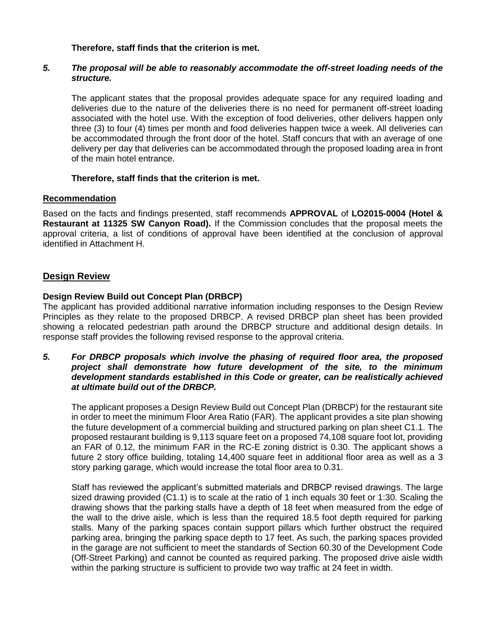# **Therefore, staff finds that the criterion is met.**

# *5. The proposal will be able to reasonably accommodate the off-street loading needs of the structure.*

The applicant states that the proposal provides adequate space for any required loading and deliveries due to the nature of the deliveries there is no need for permanent off-street loading associated with the hotel use. With the exception of food deliveries, other delivers happen only three (3) to four (4) times per month and food deliveries happen twice a week. All deliveries can be accommodated through the front door of the hotel. Staff concurs that with an average of one delivery per day that deliveries can be accommodated through the proposed loading area in front of the main hotel entrance.

# **Therefore, staff finds that the criterion is met.**

# **Recommendation**

Based on the facts and findings presented, staff recommends **APPROVAL** of **LO2015-0004 (Hotel & Restaurant at 11325 SW Canyon Road).** If the Commission concludes that the proposal meets the approval criteria, a list of conditions of approval have been identified at the conclusion of approval identified in Attachment H.

# **Design Review**

# **Design Review Build out Concept Plan (DRBCP)**

The applicant has provided additional narrative information including responses to the Design Review Principles as they relate to the proposed DRBCP. A revised DRBCP plan sheet has been provided showing a relocated pedestrian path around the DRBCP structure and additional design details. In response staff provides the following revised response to the approval criteria.

# *5. For DRBCP proposals which involve the phasing of required floor area, the proposed project shall demonstrate how future development of the site, to the minimum development standards established in this Code or greater, can be realistically achieved at ultimate build out of the DRBCP.*

The applicant proposes a Design Review Build out Concept Plan (DRBCP) for the restaurant site in order to meet the minimum Floor Area Ratio (FAR). The applicant provides a site plan showing the future development of a commercial building and structured parking on plan sheet C1.1. The proposed restaurant building is 9,113 square feet on a proposed 74,108 square foot lot, providing an FAR of 0.12, the minimum FAR in the RC-E zoning district is 0.30. The applicant shows a future 2 story office building, totaling 14,400 square feet in additional floor area as well as a 3 story parking garage, which would increase the total floor area to 0.31.

Staff has reviewed the applicant's submitted materials and DRBCP revised drawings. The large sized drawing provided (C1.1) is to scale at the ratio of 1 inch equals 30 feet or 1:30. Scaling the drawing shows that the parking stalls have a depth of 18 feet when measured from the edge of the wall to the drive aisle, which is less than the required 18.5 foot depth required for parking stalls. Many of the parking spaces contain support pillars which further obstruct the required parking area, bringing the parking space depth to 17 feet. As such, the parking spaces provided in the garage are not sufficient to meet the standards of Section 60.30 of the Development Code (Off-Street Parking) and cannot be counted as required parking. The proposed drive aisle width within the parking structure is sufficient to provide two way traffic at 24 feet in width.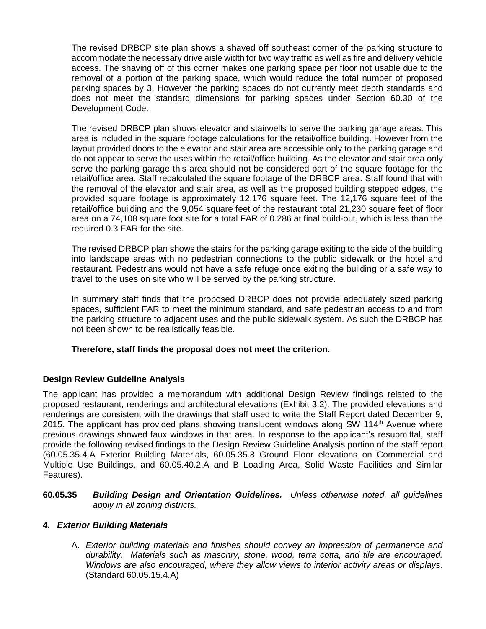The revised DRBCP site plan shows a shaved off southeast corner of the parking structure to accommodate the necessary drive aisle width for two way traffic as well as fire and delivery vehicle access. The shaving off of this corner makes one parking space per floor not usable due to the removal of a portion of the parking space, which would reduce the total number of proposed parking spaces by 3. However the parking spaces do not currently meet depth standards and does not meet the standard dimensions for parking spaces under Section 60.30 of the Development Code.

The revised DRBCP plan shows elevator and stairwells to serve the parking garage areas. This area is included in the square footage calculations for the retail/office building. However from the layout provided doors to the elevator and stair area are accessible only to the parking garage and do not appear to serve the uses within the retail/office building. As the elevator and stair area only serve the parking garage this area should not be considered part of the square footage for the retail/office area. Staff recalculated the square footage of the DRBCP area. Staff found that with the removal of the elevator and stair area, as well as the proposed building stepped edges, the provided square footage is approximately 12,176 square feet. The 12,176 square feet of the retail/office building and the 9,054 square feet of the restaurant total 21,230 square feet of floor area on a 74,108 square foot site for a total FAR of 0.286 at final build-out, which is less than the required 0.3 FAR for the site.

The revised DRBCP plan shows the stairs for the parking garage exiting to the side of the building into landscape areas with no pedestrian connections to the public sidewalk or the hotel and restaurant. Pedestrians would not have a safe refuge once exiting the building or a safe way to travel to the uses on site who will be served by the parking structure.

In summary staff finds that the proposed DRBCP does not provide adequately sized parking spaces, sufficient FAR to meet the minimum standard, and safe pedestrian access to and from the parking structure to adjacent uses and the public sidewalk system. As such the DRBCP has not been shown to be realistically feasible.

# **Therefore, staff finds the proposal does not meet the criterion.**

# **Design Review Guideline Analysis**

The applicant has provided a memorandum with additional Design Review findings related to the proposed restaurant, renderings and architectural elevations (Exhibit 3.2). The provided elevations and renderings are consistent with the drawings that staff used to write the Staff Report dated December 9, 2015. The applicant has provided plans showing translucent windows along SW 114th Avenue where previous drawings showed faux windows in that area. In response to the applicant's resubmittal, staff provide the following revised findings to the Design Review Guideline Analysis portion of the staff report (60.05.35.4.A Exterior Building Materials, 60.05.35.8 Ground Floor elevations on Commercial and Multiple Use Buildings, and 60.05.40.2.A and B Loading Area, Solid Waste Facilities and Similar Features).

# **60.05.35** *Building Design and Orientation Guidelines. Unless otherwise noted, all guidelines apply in all zoning districts.*

# *4. Exterior Building Materials*

A. *Exterior building materials and finishes should convey an impression of permanence and durability. Materials such as masonry, stone, wood, terra cotta, and tile are encouraged. Windows are also encouraged, where they allow views to interior activity areas or displays*. (Standard 60.05.15.4.A)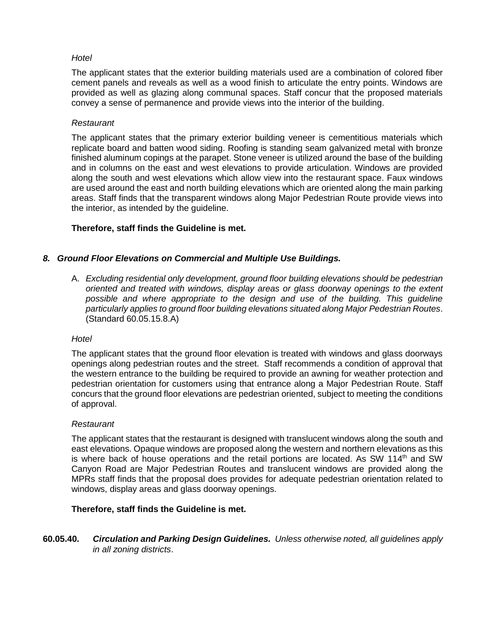# *Hotel*

The applicant states that the exterior building materials used are a combination of colored fiber cement panels and reveals as well as a wood finish to articulate the entry points. Windows are provided as well as glazing along communal spaces. Staff concur that the proposed materials convey a sense of permanence and provide views into the interior of the building.

# *Restaurant*

The applicant states that the primary exterior building veneer is cementitious materials which replicate board and batten wood siding. Roofing is standing seam galvanized metal with bronze finished aluminum copings at the parapet. Stone veneer is utilized around the base of the building and in columns on the east and west elevations to provide articulation. Windows are provided along the south and west elevations which allow view into the restaurant space. Faux windows are used around the east and north building elevations which are oriented along the main parking areas. Staff finds that the transparent windows along Major Pedestrian Route provide views into the interior, as intended by the guideline.

# **Therefore, staff finds the Guideline is met.**

# *8. Ground Floor Elevations on Commercial and Multiple Use Buildings.*

A. *Excluding residential only development, ground floor building elevations should be pedestrian oriented and treated with windows, display areas or glass doorway openings to the extent possible and where appropriate to the design and use of the building. This guideline particularly applies to ground floor building elevations situated along Major Pedestrian Routes*. (Standard 60.05.15.8.A)

#### *Hotel*

The applicant states that the ground floor elevation is treated with windows and glass doorways openings along pedestrian routes and the street. Staff recommends a condition of approval that the western entrance to the building be required to provide an awning for weather protection and pedestrian orientation for customers using that entrance along a Major Pedestrian Route. Staff concurs that the ground floor elevations are pedestrian oriented, subject to meeting the conditions of approval.

#### *Restaurant*

The applicant states that the restaurant is designed with translucent windows along the south and east elevations. Opaque windows are proposed along the western and northern elevations as this is where back of house operations and the retail portions are located. As SW 114<sup>th</sup> and SW Canyon Road are Major Pedestrian Routes and translucent windows are provided along the MPRs staff finds that the proposal does provides for adequate pedestrian orientation related to windows, display areas and glass doorway openings.

# **Therefore, staff finds the Guideline is met.**

**60.05.40.** *Circulation and Parking Design Guidelines. Unless otherwise noted, all guidelines apply in all zoning districts*.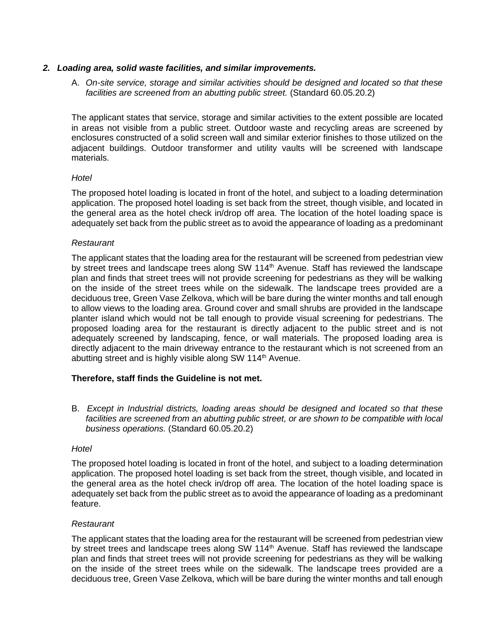# *2. Loading area, solid waste facilities, and similar improvements.*

A. *On-site service, storage and similar activities should be designed and located so that these facilities are screened from an abutting public street.* (Standard 60.05.20.2)

The applicant states that service, storage and similar activities to the extent possible are located in areas not visible from a public street. Outdoor waste and recycling areas are screened by enclosures constructed of a solid screen wall and similar exterior finishes to those utilized on the adjacent buildings. Outdoor transformer and utility vaults will be screened with landscape materials.

#### *Hotel*

The proposed hotel loading is located in front of the hotel, and subject to a loading determination application. The proposed hotel loading is set back from the street, though visible, and located in the general area as the hotel check in/drop off area. The location of the hotel loading space is adequately set back from the public street as to avoid the appearance of loading as a predominant

# *Restaurant*

The applicant states that the loading area for the restaurant will be screened from pedestrian view by street trees and landscape trees along SW 114<sup>th</sup> Avenue. Staff has reviewed the landscape plan and finds that street trees will not provide screening for pedestrians as they will be walking on the inside of the street trees while on the sidewalk. The landscape trees provided are a deciduous tree, Green Vase Zelkova, which will be bare during the winter months and tall enough to allow views to the loading area. Ground cover and small shrubs are provided in the landscape planter island which would not be tall enough to provide visual screening for pedestrians. The proposed loading area for the restaurant is directly adjacent to the public street and is not adequately screened by landscaping, fence, or wall materials. The proposed loading area is directly adjacent to the main driveway entrance to the restaurant which is not screened from an abutting street and is highly visible along SW  $114<sup>th</sup>$  Avenue.

# **Therefore, staff finds the Guideline is not met.**

B. *Except in Industrial districts, loading areas should be designed and located so that these*  facilities are screened from an abutting public street, or are shown to be compatible with local *business operations.* (Standard 60.05.20.2)

#### *Hotel*

The proposed hotel loading is located in front of the hotel, and subject to a loading determination application. The proposed hotel loading is set back from the street, though visible, and located in the general area as the hotel check in/drop off area. The location of the hotel loading space is adequately set back from the public street as to avoid the appearance of loading as a predominant feature.

#### *Restaurant*

The applicant states that the loading area for the restaurant will be screened from pedestrian view by street trees and landscape trees along SW 114<sup>th</sup> Avenue. Staff has reviewed the landscape plan and finds that street trees will not provide screening for pedestrians as they will be walking on the inside of the street trees while on the sidewalk. The landscape trees provided are a deciduous tree, Green Vase Zelkova, which will be bare during the winter months and tall enough